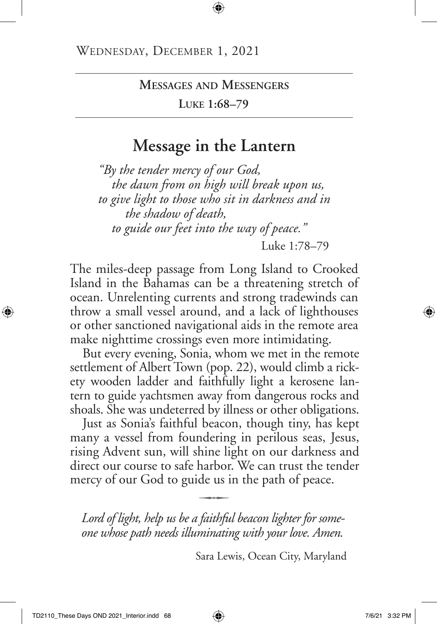**Luke 1:68–79**

## **Message in the Lantern**

*"By the tender mercy of our God, the dawn from on high will break upon us, to give light to those who sit in darkness and in the shadow of death, to guide our feet into the way of peace."* Luke 1:78–79

The miles-deep passage from Long Island to Crooked Island in the Bahamas can be a threatening stretch of ocean. Unrelenting currents and strong tradewinds can throw a small vessel around, and a lack of lighthouses or other sanctioned navigational aids in the remote area make nighttime crossings even more intimidating.

But every evening, Sonia, whom we met in the remote settlement of Albert Town (pop. 22), would climb a rickety wooden ladder and faithfully light a kerosene lantern to guide yachtsmen away from dangerous rocks and shoals. She was undeterred by illness or other obligations.

Just as Sonia's faithful beacon, though tiny, has kept many a vessel from foundering in perilous seas, Jesus, rising Advent sun, will shine light on our darkness and direct our course to safe harbor. We can trust the tender mercy of our God to guide us in the path of peace.

*Lord of light, help us be a faithful beacon lighter for some one whose path needs illuminating with your love. Amen.*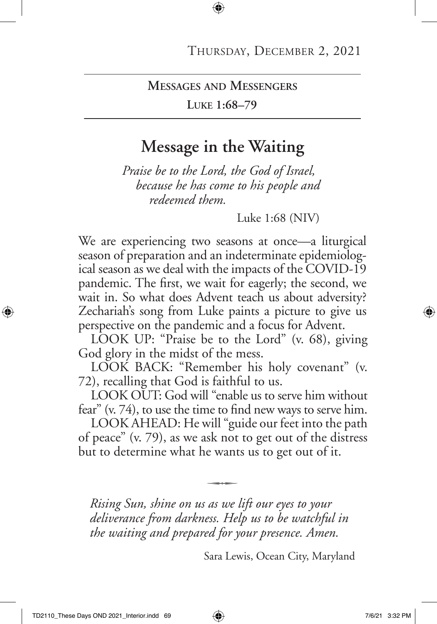**Luke 1:68–79**

## **Message in the Waiting**

*Praise be to the Lord, the God of Israel, because he has come to his people and redeemed them.*

Luke 1:68 (NIV)

We are experiencing two seasons at once—a liturgical season of preparation and an indeterminate epidemiological season as we deal with the impacts of the COVID-19 pandemic. The first, we wait for eagerly; the second, we wait in. So what does Advent teach us about adversity? Zechariah's song from Luke paints a picture to give us perspective on the pandemic and a focus for Advent.

LOOK UP: "Praise be to the Lord" (v. 68), giving God glory in the midst of the mess.

LOOK BACK: "Remember his holy covenant" (v. 72), recalling that God is faithful to us.

LOOK OUT: God will "enable us to serve him without fear" (v. 74), to use the time to find new ways to serve him.

LOOK AHEAD: He will "guide our feet into the path of peace" (v. 79), as we ask not to get out of the distress but to determine what he wants us to get out of it.

 $\overline{\phantom{aa}}$ 

*Rising Sun, shine on us as we lift our eyes to your deliverance from darkness. Help us to be watchful in the waiting and prepared for your presence. Amen.*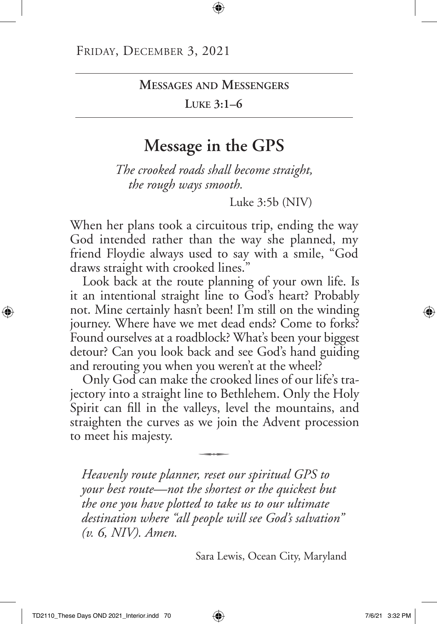**Luke 3:1–6**

## **Message in the GPS**

*The crooked roads shall become straight, the rough ways smooth.* 

Luke 3:5b (NIV)

When her plans took a circuitous trip, ending the way God intended rather than the way she planned, my friend Floydie always used to say with a smile, "God draws straight with crooked lines."

Look back at the route planning of your own life. Is it an intentional straight line to God's heart? Probably not. Mine certainly hasn't been! I'm still on the winding journey. Where have we met dead ends? Come to forks? Found ourselves at a roadblock? What's been your biggest detour? Can you look back and see God's hand guiding and rerouting you when you weren't at the wheel?

Only God can make the crooked lines of our life's trajectory into a straight line to Bethlehem. Only the Holy Spirit can fill in the valleys, level the mountains, and straighten the curves as we join the Advent procession to meet his majesty. q

*Heavenly route planner, reset our spiritual GPS to your best route—not the shortest or the quickest but the one you have plotted to take us to our ultimate destination where "all people will see God's salvation" (v. 6, NIV). Amen.*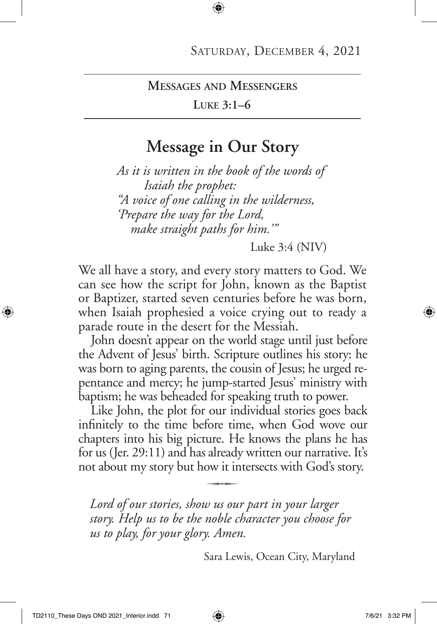#### **Luke 3:1–6**

### **Message in Our Story**

*As it is written in the book of the words of Isaiah the prophet: "A voice of one calling in the wilderness, 'Prepare the way for the Lord, make straight paths for him.'"*

Luke 3:4 (NIV)

We all have a story, and every story matters to God. We can see how the script for John, known as the Baptist or Baptizer, started seven centuries before he was born, when Isaiah prophesied a voice crying out to ready a parade route in the desert for the Messiah.

John doesn't appear on the world stage until just before the Advent of Jesus' birth. Scripture outlines his story: he was born to aging parents, the cousin of Jesus; he urged repentance and mercy; he jump-started Jesus' ministry with baptism; he was beheaded for speaking truth to power.

Like John, the plot for our individual stories goes back infinitely to the time before time, when God wove our chapters into his big picture. He knows the plans he has for us (Jer. 29:11) and has already written our narrative. It's not about my story but how it intersects with God's story. q

*Lord of our stories, show us our part in your larger story. Help us to be the noble character you choose for us to play, for your glory. Amen.*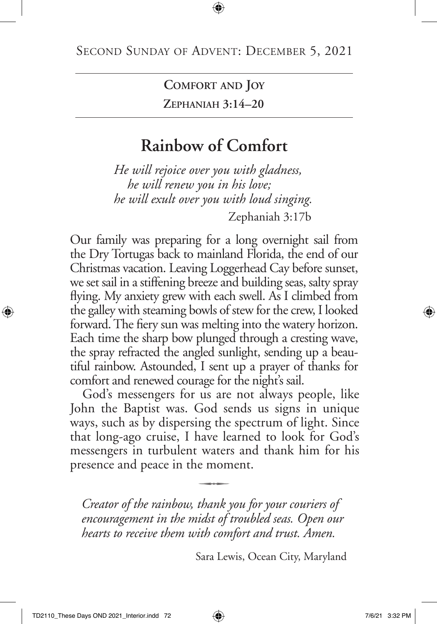**Comfort and Joy Zephaniah 3:14–20**

# **Rainbow of Comfort**

*He will rejoice over you with gladness, he will renew you in his love; he will exult over you with loud singing.*  Zephaniah 3:17b

Our family was preparing for a long overnight sail from the Dry Tortugas back to mainland Florida, the end of our Christmas vacation. Leaving Loggerhead Cay before sunset, we set sail in a stiffening breeze and building seas, salty spray flying. My anxiety grew with each swell. As I climbed from the galley with steaming bowls of stew for the crew, I looked forward. The fiery sun was melting into the watery horizon. Each time the sharp bow plunged through a cresting wave, the spray refracted the angled sunlight, sending up a beautiful rainbow. Astounded, I sent up a prayer of thanks for comfort and renewed courage for the night's sail.

God's messengers for us are not always people, like John the Baptist was. God sends us signs in unique ways, such as by dispersing the spectrum of light. Since that long-ago cruise, I have learned to look for God's messengers in turbulent waters and thank him for his presence and peace in the moment.

*Creator of the rainbow, thank you for your couriers of encouragement in the midst of troubled seas. Open our hearts to receive them with comfort and trust. Amen.*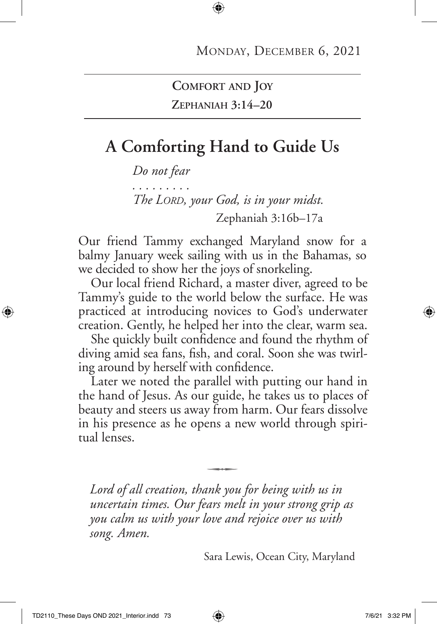### **Comfort and Joy Zephaniah 3:14–20**

## **A Comforting Hand to Guide Us**

*Do not fear . . . . . . . . . The Lord, your God, is in your midst.* Zephaniah 3:16b–17a

Our friend Tammy exchanged Maryland snow for a balmy January week sailing with us in the Bahamas, so we decided to show her the joys of snorkeling.

Our local friend Richard, a master diver, agreed to be Tammy's guide to the world below the surface. He was practiced at introducing novices to God's underwater creation. Gently, he helped her into the clear, warm sea.

She quickly built confidence and found the rhythm of diving amid sea fans, fish, and coral. Soon she was twirling around by herself with confidence.

Later we noted the parallel with putting our hand in the hand of Jesus. As our guide, he takes us to places of beauty and steers us away from harm. Our fears dissolve in his presence as he opens a new world through spiritual lenses.

*Lord of all creation, thank you for being with us in uncertain times. Our fears melt in your strong grip as you calm us with your love and rejoice over us with song. Amen.*

 $\overline{\phantom{aa}}$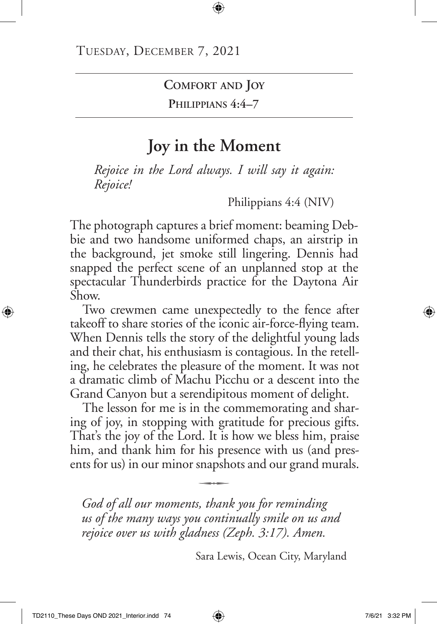**Comfort and Joy**

**Philippians 4:4–7**

# **Joy in the Moment**

*Rejoice in the Lord always. I will say it again: Rejoice!* 

Philippians 4:4 (NIV)

The photograph captures a brief moment: beaming Debbie and two handsome uniformed chaps, an airstrip in the background, jet smoke still lingering. Dennis had snapped the perfect scene of an unplanned stop at the spectacular Thunderbirds practice for the Daytona Air Show.

Two crewmen came unexpectedly to the fence after takeoff to share stories of the iconic air-force-flying team. When Dennis tells the story of the delightful young lads and their chat, his enthusiasm is contagious. In the retelling, he celebrates the pleasure of the moment. It was not a dramatic climb of Machu Picchu or a descent into the Grand Canyon but a serendipitous moment of delight.

The lesson for me is in the commemorating and sharing of joy, in stopping with gratitude for precious gifts. That's the joy of the Lord. It is how we bless him, praise him, and thank him for his presence with us (and presents for us) in our minor snapshots and our grand murals. q

*God of all our moments, thank you for reminding us of the many ways you continually smile on us and rejoice over us with gladness (Zeph. 3:17). Amen.*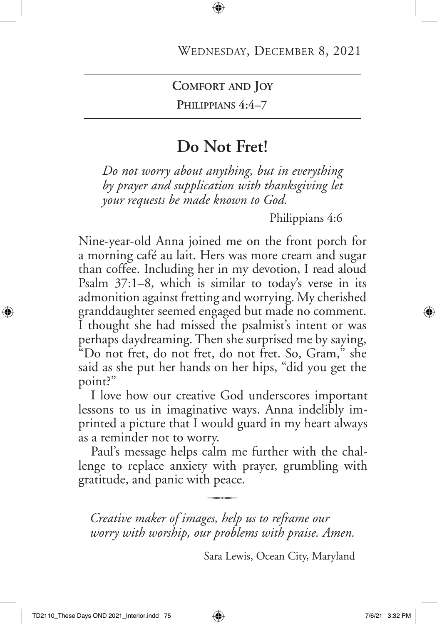**Comfort and Joy**

**Philippians 4:4–7**

## **Do Not Fret!**

*Do not worry about anything, but in everything by prayer and supplication with thanksgiving let your requests be made known to God.*

Philippians 4:6

Nine-year-old Anna joined me on the front porch for a morning café au lait. Hers was more cream and sugar than coffee. Including her in my devotion, I read aloud Psalm 37:1–8, which is similar to today's verse in its admonition against fretting and worrying. My cherished granddaughter seemed engaged but made no comment. I thought she had missed the psalmist's intent or was perhaps daydreaming. Then she surprised me by saying, "Do not fret, do not fret, do not fret. So, Gram," she said as she put her hands on her hips, "did you get the point?"

I love how our creative God underscores important lessons to us in imaginative ways. Anna indelibly imprinted a picture that I would guard in my heart always as a reminder not to worry.

Paul's message helps calm me further with the challenge to replace anxiety with prayer, grumbling with gratitude, and panic with peace.

*Creative maker of images, help us to reframe our worry with worship, our problems with praise. Amen.*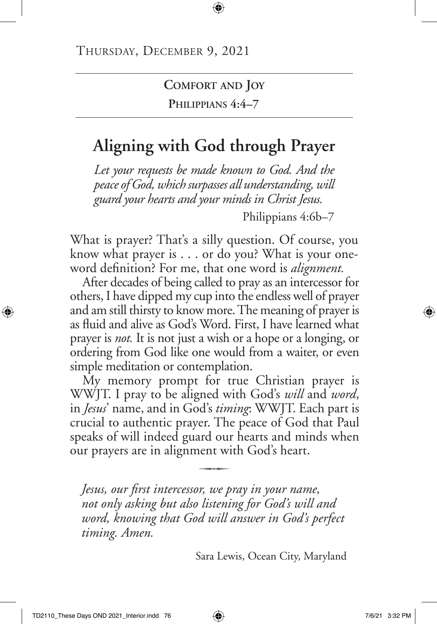### **Comfort and Joy Philippians 4:4–7**

# **Aligning with God through Prayer**

*Let your requests be made known to God. And the peace of God, which surpasses all understanding, will guard your hearts and your minds in Christ Jesus.*

Philippians 4:6b–7

What is prayer? That's a silly question. Of course, you know what prayer is . . . or do you? What is your oneword definition? For me, that one word is *alignment.*

After decades of being called to pray as an intercessor for others, I have dipped my cup into the endless well of prayer and am still thirsty to know more. The meaning of prayer is as fluid and alive as God's Word. First, I have learned what prayer is *not.* It is not just a wish or a hope or a longing, or ordering from God like one would from a waiter, or even simple meditation or contemplation.

My memory prompt for true Christian prayer is WWJT. I pray to be aligned with God's *will* and *word*, in *Jesus*' name, and in God's *timing*: WWJT. Each part is crucial to authentic prayer. The peace of God that Paul speaks of will indeed guard our hearts and minds when our prayers are in alignment with God's heart.

*Jesus, our first intercessor, we pray in your name, not only asking but also listening for God's will and word, knowing that God will answer in God's perfect timing. Amen.*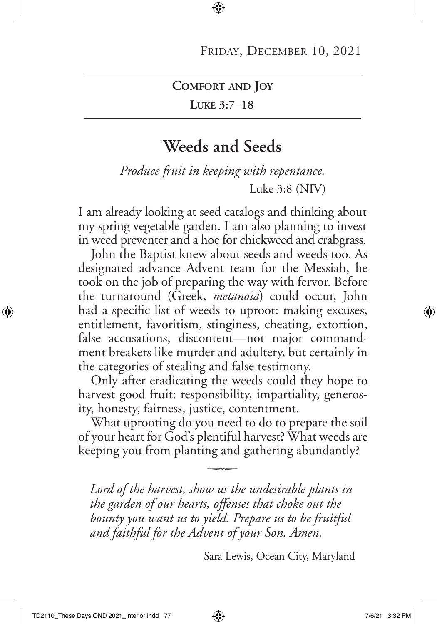**Comfort and Joy**

**Luke 3:7–18**

## **Weeds and Seeds**

*Produce fruit in keeping with repentance.* Luke 3:8 (NIV)

I am already looking at seed catalogs and thinking about my spring vegetable garden. I am also planning to invest in weed preventer and a hoe for chickweed and crabgrass.

John the Baptist knew about seeds and weeds too. As designated advance Advent team for the Messiah, he took on the job of preparing the way with fervor. Before the turnaround (Greek, *metanoia*) could occur, John had a specific list of weeds to uproot: making excuses, entitlement, favoritism, stinginess, cheating, extortion, false accusations, discontent—not major commandment breakers like murder and adultery, but certainly in the categories of stealing and false testimony.

Only after eradicating the weeds could they hope to harvest good fruit: responsibility, impartiality, generosity, honesty, fairness, justice, contentment.

What uprooting do you need to do to prepare the soil of your heart for God's plentiful harvest? What weeds are keeping you from planting and gathering abundantly?

*Lord of the harvest, show us the undesirable plants in the garden of our hearts, offenses that choke out the bounty you want us to yield. Prepare us to be fruitful and faithful for the Advent of your Son. Amen.*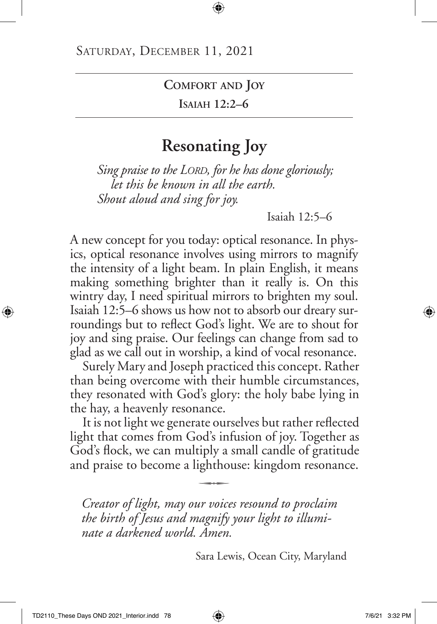**Comfort and Joy**

**Isaiah 12:2–6**

## **Resonating Joy**

*Sing praise to the Lord, for he has done gloriously; let this be known in all the earth. Shout aloud and sing for joy.*

Isaiah 12:5–6

A new concept for you today: optical resonance. In physics, optical resonance involves using mirrors to magnify the intensity of a light beam. In plain English, it means making something brighter than it really is. On this wintry day, I need spiritual mirrors to brighten my soul. Isaiah 12:5–6 shows us how not to absorb our dreary surroundings but to reflect God's light. We are to shout for joy and sing praise. Our feelings can change from sad to glad as we call out in worship, a kind of vocal resonance.

Surely Mary and Joseph practiced this concept. Rather than being overcome with their humble circumstances, they resonated with God's glory: the holy babe lying in the hay, a heavenly resonance.

It is not light we generate ourselves but rather reflected light that comes from God's infusion of joy. Together as God's flock, we can multiply a small candle of gratitude and praise to become a lighthouse: kingdom resonance.

*Creator of light, may our voices resound to proclaim the birth of Jesus and magnify your light to illuminate a darkened world. Amen.*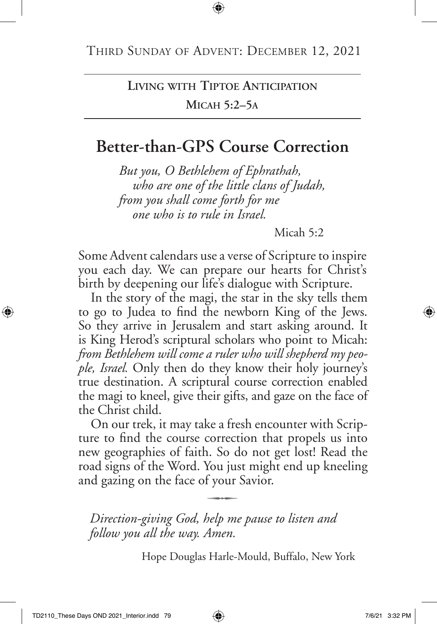## **Living with Tiptoe Anticipation Micah 5:2–5a**

## **Better-than-GPS Course Correction**

*But you, O Bethlehem of Ephrathah, who are one of the little clans of Judah, from you shall come forth for me one who is to rule in Israel.*

Micah 5:2

Some Advent calendars use a verse of Scripture to inspire you each day. We can prepare our hearts for Christ's birth by deepening our life's dialogue with Scripture.

In the story of the magi, the star in the sky tells them to go to Judea to find the newborn King of the Jews. So they arrive in Jerusalem and start asking around. It is King Herod's scriptural scholars who point to Micah: *from Bethlehem will come a ruler who will shepherd my people, Israel.* Only then do they know their holy journey's true destination. A scriptural course correction enabled the magi to kneel, give their gifts, and gaze on the face of the Christ child.

On our trek, it may take a fresh encounter with Scripture to find the course correction that propels us into new geographies of faith. So do not get lost! Read the road signs of the Word. You just might end up kneeling and gazing on the face of your Savior.

*Direction-giving God, help me pause to listen and follow you all the way. Amen.*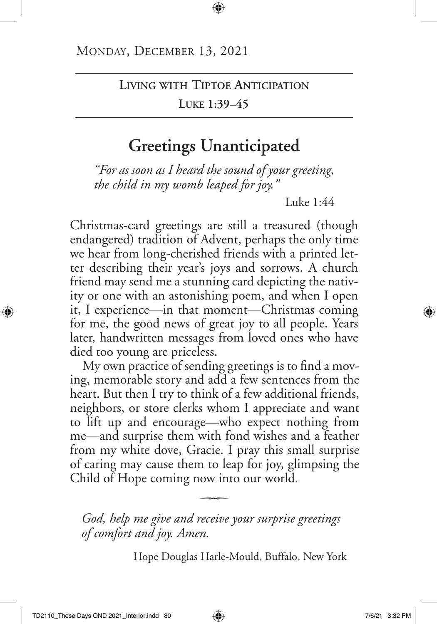### **Living with Tiptoe Anticipation Luke 1:39–45**

## **Greetings Unanticipated**

*"For as soon as I heard the sound of your greeting, the child in my womb leaped for joy."*

Luke 1:44

Christmas-card greetings are still a treasured (though endangered) tradition of Advent, perhaps the only time we hear from long-cherished friends with a printed letter describing their year's joys and sorrows. A church friend may send me a stunning card depicting the nativity or one with an astonishing poem, and when I open it, I experience—in that moment—Christmas coming for me, the good news of great joy to all people. Years later, handwritten messages from loved ones who have died too young are priceless.

My own practice of sending greetings is to find a moving, memorable story and add a few sentences from the heart. But then I try to think of a few additional friends, neighbors, or store clerks whom I appreciate and want to lift up and encourage—who expect nothing from me—and surprise them with fond wishes and a feather from my white dove, Gracie. I pray this small surprise of caring may cause them to leap for joy, glimpsing the Child of Hope coming now into our world.

*God, help me give and receive your surprise greetings of comfort and joy. Amen.*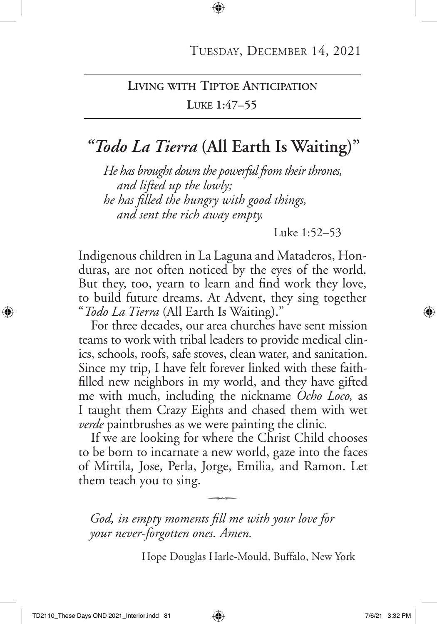### **Living with Tiptoe Anticipation Luke 1:47–55**

# *"Todo La Tierra* **(All Earth Is Waiting)"**

*He has brought down the powerful from their thrones, and lifted up the lowly; he has filled the hungry with good things, and sent the rich away empty.*

Luke 1:52–53

Indigenous children in La Laguna and Mataderos, Honduras, are not often noticed by the eyes of the world. But they, too, yearn to learn and find work they love, to build future dreams. At Advent, they sing together "*Todo La Tierra* (All Earth Is Waiting)."

For three decades, our area churches have sent mission teams to work with tribal leaders to provide medical clinics, schools, roofs, safe stoves, clean water, and sanitation. Since my trip, I have felt forever linked with these faithfilled new neighbors in my world, and they have gifted me with much, including the nickname *Ocho Loco,* as I taught them Crazy Eights and chased them with wet *verde* paintbrushes as we were painting the clinic.

If we are looking for where the Christ Child chooses to be born to incarnate a new world, gaze into the faces of Mirtila, Jose, Perla, Jorge, Emilia, and Ramon. Let them teach you to sing.  $\overline{\phantom{a}}$ 

*God, in empty moments fill me with your love for your never-forgotten ones. Amen.*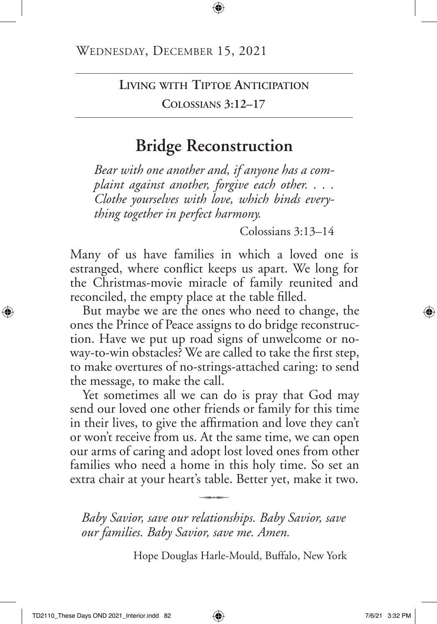**Living with Tiptoe Anticipation**

**Colossians 3:12–17**

# **Bridge Reconstruction**

*Bear with one another and, if anyone has a complaint against another, forgive each other. . . . Clothe yourselves with love, which binds everything together in perfect harmony.*

Colossians 3:13–14

Many of us have families in which a loved one is estranged, where conflict keeps us apart. We long for the Christmas-movie miracle of family reunited and reconciled, the empty place at the table filled.

But maybe we are the ones who need to change, the ones the Prince of Peace assigns to do bridge reconstruction. Have we put up road signs of unwelcome or noway-to-win obstacles? We are called to take the first step, to make overtures of no-strings-attached caring: to send the message, to make the call.

Yet sometimes all we can do is pray that God may send our loved one other friends or family for this time in their lives, to give the affirmation and love they can't or won't receive from us. At the same time, we can open our arms of caring and adopt lost loved ones from other families who need a home in this holy time. So set an extra chair at your heart's table. Better yet, make it two. q

*Baby Savior, save our relationships. Baby Savior, save our families. Baby Savior, save me. Amen.*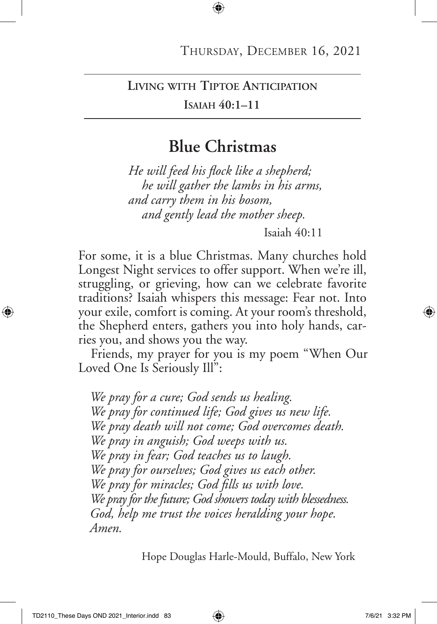#### **Living with Tiptoe Anticipation**

#### **Isaiah 40:1–11**

### **Blue Christmas**

*He will feed his flock like a shepherd; he will gather the lambs in his arms, and carry them in his bosom, and gently lead the mother sheep.*

Isaiah 40:11

For some, it is a blue Christmas. Many churches hold Longest Night services to offer support. When we're ill, struggling, or grieving, how can we celebrate favorite traditions? Isaiah whispers this message: Fear not. Into your exile, comfort is coming. At your room's threshold, the Shepherd enters, gathers you into holy hands, carries you, and shows you the way.

Friends, my prayer for you is my poem "When Our Loved One Is Seriously Ill":

*We pray for a cure; God sends us healing. We pray for continued life; God gives us new life. We pray death will not come; God overcomes death. We pray in anguish; God weeps with us. We pray in fear; God teaches us to laugh. We pray for ourselves; God gives us each other. We pray for miracles; God fills us with love. We pray for the future; God showers today with blessedness. God, help me trust the voices heralding your hope. Amen.*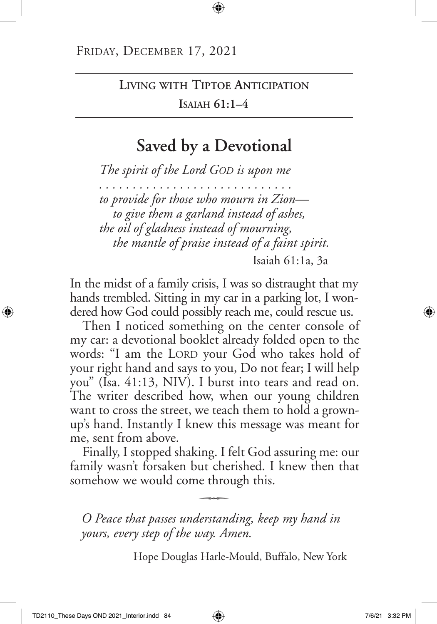## **Living with Tiptoe Anticipation Isaiah 61:1–4**

## **Saved by a Devotional**

*The spirit of the Lord God is upon me . . . . . . . . . . . . . . . . . . . . . . . . . . . . . to provide for those who mourn in Zion to give them a garland instead of ashes, the oil of gladness instead of mourning, the mantle of praise instead of a faint spirit.*

Isaiah 61:1a, 3a

In the midst of a family crisis, I was so distraught that my hands trembled. Sitting in my car in a parking lot, I wondered how God could possibly reach me, could rescue us.

Then I noticed something on the center console of my car: a devotional booklet already folded open to the words: "I am the LORD your God who takes hold of your right hand and says to you, Do not fear; I will help you" (Isa. 41:13, NIV). I burst into tears and read on. The writer described how, when our young children want to cross the street, we teach them to hold a grownup's hand. Instantly I knew this message was meant for me, sent from above.

Finally, I stopped shaking. I felt God assuring me: our family wasn't forsaken but cherished. I knew then that somehow we would come through this.

*O Peace that passes understanding, keep my hand in yours, every step of the way. Amen.*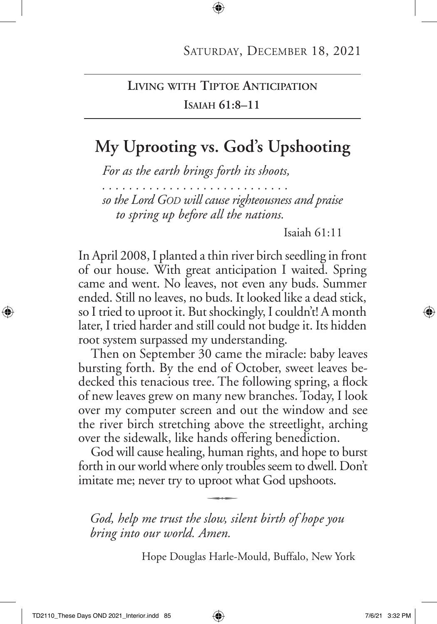### **Living with Tiptoe Anticipation Isaiah 61:8–11**

# **My Uprooting vs. God's Upshooting**

*For as the earth brings forth its shoots,* 

*. . . . . . . . . . . . . . . . . . . . . . . . . . . .* 

*so the Lord God will cause righteousness and praise to spring up before all the nations.* 

Isaiah 61:11

In April 2008, I planted a thin river birch seedling in front of our house. With great anticipation I waited. Spring came and went. No leaves, not even any buds. Summer ended. Still no leaves, no buds. It looked like a dead stick, so I tried to uproot it. But shockingly, I couldn't! A month later, I tried harder and still could not budge it. Its hidden root system surpassed my understanding.

Then on September 30 came the miracle: baby leaves bursting forth. By the end of October, sweet leaves bedecked this tenacious tree. The following spring, a flock of new leaves grew on many new branches. Today, I look over my computer screen and out the window and see the river birch stretching above the streetlight, arching over the sidewalk, like hands offering benediction.

God will cause healing, human rights, and hope to burst forth in our world where only troubles seem to dwell. Don't imitate me; never try to uproot what God upshoots. q

*God, help me trust the slow, silent birth of hope you bring into our world. Amen.*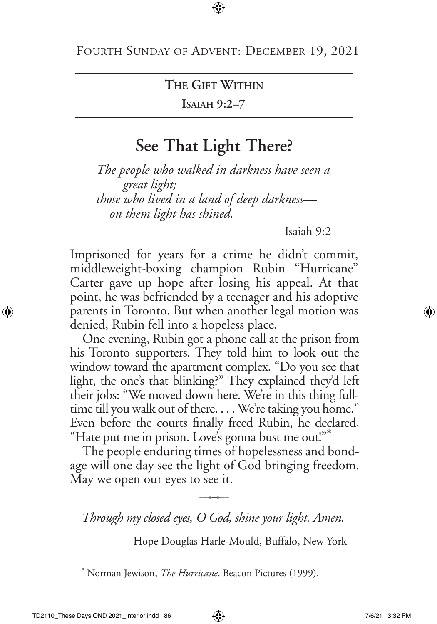**Isaiah 9:2–7**

# **See That Light There?**

*The people who walked in darkness have seen a great light; those who lived in a land of deep darkness on them light has shined.*

Isaiah 9:2

Imprisoned for years for a crime he didn't commit, middleweight-boxing champion Rubin "Hurricane" Carter gave up hope after losing his appeal. At that point, he was befriended by a teenager and his adoptive parents in Toronto. But when another legal motion was denied, Rubin fell into a hopeless place.

One evening, Rubin got a phone call at the prison from his Toronto supporters. They told him to look out the window toward the apartment complex. "Do you see that light, the one's that blinking?" They explained they'd left their jobs: "We moved down here. We're in this thing fulltime till you walk out of there. . . . We're taking you home." Even before the courts finally freed Rubin, he declared, "Hate put me in prison. Love's gonna bust me out!"\*

The people enduring times of hopelessness and bondage will one day see the light of God bringing freedom. May we open our eyes to see it.<br> $\overline{\phantom{a}}$ 

*Through my closed eyes, O God, shine your light. Amen.*

<sup>\*</sup> Norman Jewison, *The Hurricane*, Beacon Pictures (1999).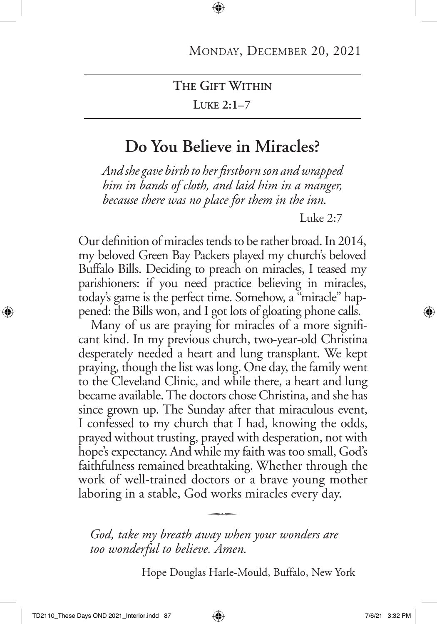#### **Luke 2:1–7**

### **Do You Believe in Miracles?**

*And she gave birth to her firstborn son and wrapped him in bands of cloth, and laid him in a manger, because there was no place for them in the inn.* 

Luke 2:7

Our definition of miracles tends to be rather broad. In 2014, my beloved Green Bay Packers played my church's beloved Buffalo Bills. Deciding to preach on miracles, I teased my parishioners: if you need practice believing in miracles, today's game is the perfect time. Somehow, a "miracle" happened: the Bills won, and I got lots of gloating phone calls.

Many of us are praying for miracles of a more significant kind. In my previous church, two-year-old Christina desperately needed a heart and lung transplant. We kept praying, though the list was long. One day, the family went to the Cleveland Clinic, and while there, a heart and lung became available. The doctors chose Christina, and she has since grown up. The Sunday after that miraculous event, I confessed to my church that I had, knowing the odds, prayed without trusting, prayed with desperation, not with hope's expectancy. And while my faith was too small, God's faithfulness remained breathtaking. Whether through the work of well-trained doctors or a brave young mother laboring in a stable, God works miracles every day. q

*God, take my breath away when your wonders are too wonderful to believe. Amen.*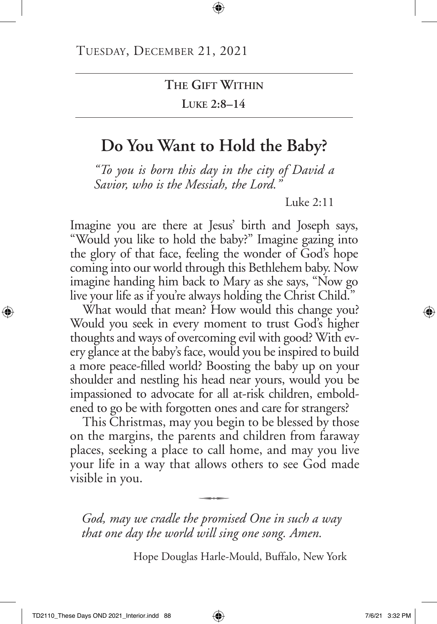**Luke 2:8–14**

# **Do You Want to Hold the Baby?**

*"To you is born this day in the city of David a Savior, who is the Messiah, the Lord."* 

Luke 2:11

Imagine you are there at Jesus' birth and Joseph says, "Would you like to hold the baby?" Imagine gazing into the glory of that face, feeling the wonder of God's hope coming into our world through this Bethlehem baby. Now imagine handing him back to Mary as she says, "Now go live your life as if you're always holding the Christ Child."

What would that mean? How would this change you? Would you seek in every moment to trust God's higher thoughts and ways of overcoming evil with good? With every glance at the baby's face, would you be inspired to build a more peace-filled world? Boosting the baby up on your shoulder and nestling his head near yours, would you be impassioned to advocate for all at-risk children, emboldened to go be with forgotten ones and care for strangers?

This Christmas, may you begin to be blessed by those on the margins, the parents and children from faraway places, seeking a place to call home, and may you live your life in a way that allows others to see God made visible in you.  $\overline{\phantom{a}}$ 

*God, may we cradle the promised One in such a way that one day the world will sing one song. Amen.*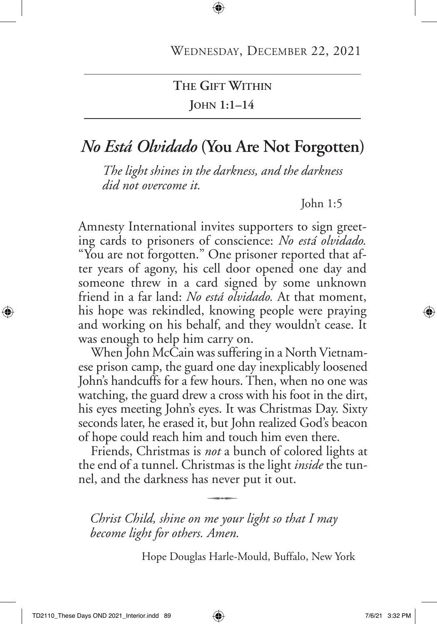### **The Gift Within John 1:1–14**

# *No Está Olvidado* **(You Are Not Forgotten)**

*The light shines in the darkness, and the darkness did not overcome it.* 

John 1:5

Amnesty International invites supporters to sign greeting cards to prisoners of conscience: *No est*á *olvidado.* "You are not forgotten." One prisoner reported that after years of agony, his cell door opened one day and someone threw in a card signed by some unknown friend in a far land: *No está olvidado.* At that moment, his hope was rekindled, knowing people were praying and working on his behalf, and they wouldn't cease. It was enough to help him carry on.

When John McCain was suffering in a North Vietnamese prison camp, the guard one day inexplicably loosened John's handcuffs for a few hours. Then, when no one was watching, the guard drew a cross with his foot in the dirt, his eyes meeting John's eyes. It was Christmas Day. Sixty seconds later, he erased it, but John realized God's beacon of hope could reach him and touch him even there.

Friends, Christmas is *not* a bunch of colored lights at the end of a tunnel. Christmas is the light *inside* the tunnel, and the darkness has never put it out.

*Christ Child, shine on me your light so that I may become light for others. Amen.*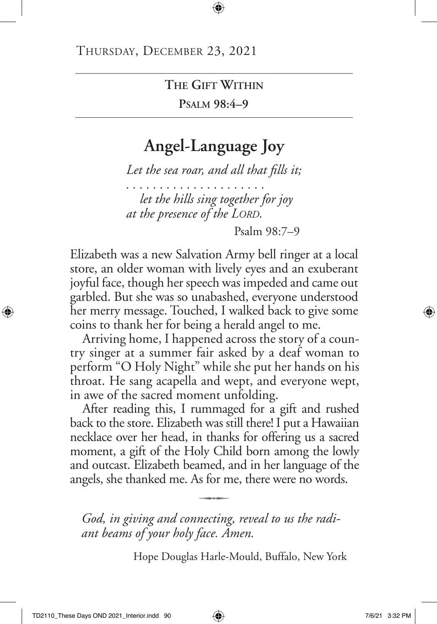**Psalm 98:4–9**

## **Angel-Language Joy**

*Let the sea roar, and all that fills it;*

*. . . . . . . . . . . . . . . . . . . . . let the hills sing together for joy at the presence of the Lord.* 

Psalm 98:7–9

Elizabeth was a new Salvation Army bell ringer at a local store, an older woman with lively eyes and an exuberant joyful face, though her speech was impeded and came out garbled. But she was so unabashed, everyone understood her merry message. Touched, I walked back to give some coins to thank her for being a herald angel to me.

Arriving home, I happened across the story of a country singer at a summer fair asked by a deaf woman to perform "O Holy Night" while she put her hands on his throat. He sang acapella and wept, and everyone wept, in awe of the sacred moment unfolding.

After reading this, I rummaged for a gift and rushed back to the store. Elizabeth was still there! I put a Hawaiian necklace over her head, in thanks for offering us a sacred moment, a gift of the Holy Child born among the lowly and outcast. Elizabeth beamed, and in her language of the angels, she thanked me. As for me, there were no words.

*God, in giving and connecting, reveal to us the radi ant beams of your holy face. Amen.*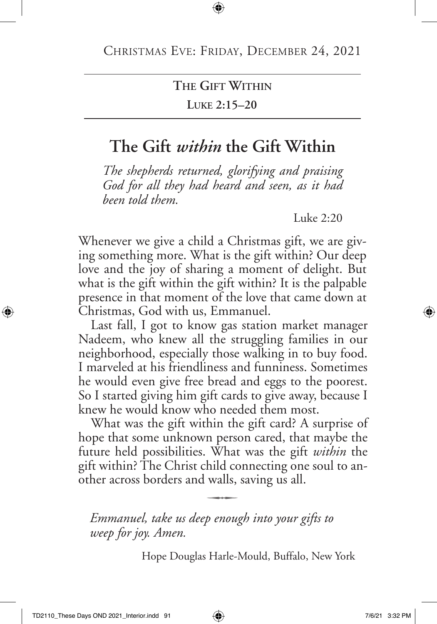**Luke 2:15–20**

## **The Gift** *within* **the Gift Within**

*The shepherds returned, glorifying and praising God for all they had heard and seen, as it had been told them.*

Luke  $2:20$ 

Whenever we give a child a Christmas gift, we are giving something more. What is the gift within? Our deep love and the joy of sharing a moment of delight. But what is the gift within the gift within? It is the palpable presence in that moment of the love that came down at Christmas, God with us, Emmanuel.

Last fall, I got to know gas station market manager Nadeem, who knew all the struggling families in our neighborhood, especially those walking in to buy food. I marveled at his friendliness and funniness. Sometimes he would even give free bread and eggs to the poorest. So I started giving him gift cards to give away, because I knew he would know who needed them most.

What was the gift within the gift card? A surprise of hope that some unknown person cared, that maybe the future held possibilities. What was the gift *within* the gift within? The Christ child connecting one soul to another across borders and walls, saving us all.

*Emmanuel, take us deep enough into your gifts to weep for joy. Amen.*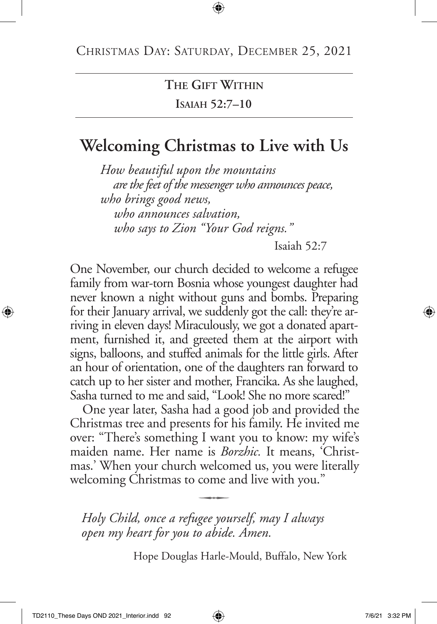**Isaiah 52:7–10**

# **Welcoming Christmas to Live with Us**

*How beautiful upon the mountains are the feet of the messenger who announces peace, who brings good news, who announces salvation, who says to Zion "Your God reigns."* 

Isaiah 52:7

One November, our church decided to welcome a refugee family from war-torn Bosnia whose youngest daughter had never known a night without guns and bombs. Preparing for their January arrival, we suddenly got the call: they're arriving in eleven days! Miraculously, we got a donated apartment, furnished it, and greeted them at the airport with signs, balloons, and stuffed animals for the little girls. After an hour of orientation, one of the daughters ran forward to catch up to her sister and mother, Francika. As she laughed, Sasha turned to me and said, "Look! She no more scared!"

One year later, Sasha had a good job and provided the Christmas tree and presents for his family. He invited me over: "There's something I want you to know: my wife's maiden name. Her name is *Borzhic.* It means, 'Christmas.' When your church welcomed us, you were literally welcoming Christmas to come and live with you."

*Holy Child, once a refugee yourself, may I always open my heart for you to abide. Amen.*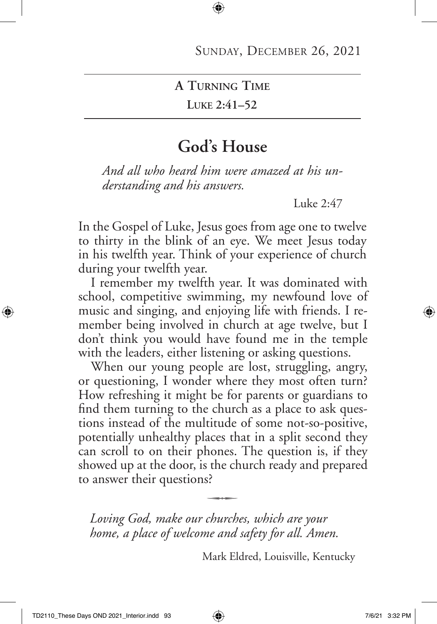**Luke 2:41–52**

### **God's House**

*And all who heard him were amazed at his understanding and his answers.*

Luke 2:47

In the Gospel of Luke, Jesus goes from age one to twelve to thirty in the blink of an eye. We meet Jesus today in his twelfth year. Think of your experience of church during your twelfth year.

I remember my twelfth year. It was dominated with school, competitive swimming, my newfound love of music and singing, and enjoying life with friends. I remember being involved in church at age twelve, but I don't think you would have found me in the temple with the leaders, either listening or asking questions.

When our young people are lost, struggling, angry, or questioning, I wonder where they most often turn? How refreshing it might be for parents or guardians to find them turning to the church as a place to ask questions instead of the multitude of some not-so-positive, potentially unhealthy places that in a split second they can scroll to on their phones. The question is, if they showed up at the door, is the church ready and prepared to answer their questions?  $\ddot{\phantom{a}}$ 

*Loving God, make our churches, which are your home, a place of welcome and safety for all. Amen.*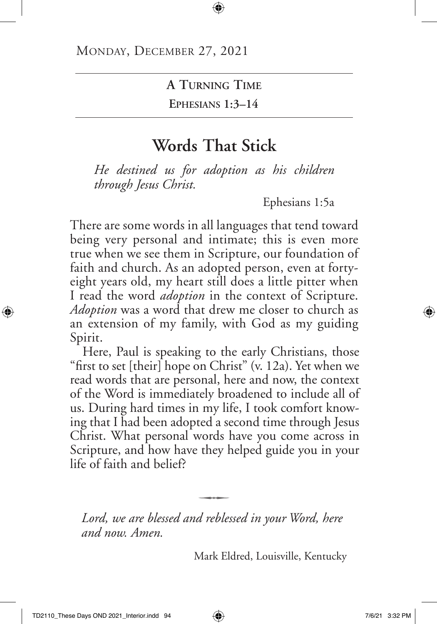**Ephesians 1:3–14**

## **Words That Stick**

*He destined us for adoption as his children through Jesus Christ.*

Ephesians 1:5a

There are some words in all languages that tend toward being very personal and intimate; this is even more true when we see them in Scripture, our foundation of faith and church. As an adopted person, even at fortyeight years old, my heart still does a little pitter when I read the word *adoption* in the context of Scripture. *Adoption* was a word that drew me closer to church as an extension of my family, with God as my guiding Spirit.

Here, Paul is speaking to the early Christians, those "first to set [their] hope on Christ" (v. 12a). Yet when we read words that are personal, here and now, the context of the Word is immediately broadened to include all of us. During hard times in my life, I took comfort knowing that I had been adopted a second time through Jesus Christ. What personal words have you come across in Scripture, and how have they helped guide you in your life of faith and belief?

*Lord, we are blessed and reblessed in your Word, here and now. Amen.*

q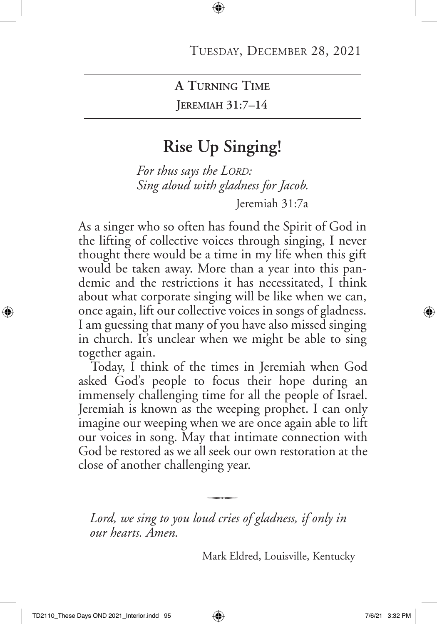**Jeremiah 31:7–14**

## **Rise Up Singing!**

*For thus says the LORD*: *Sing aloud with gladness for Jacob.* Jeremiah 31:7a

As a singer who so often has found the Spirit of God in the lifting of collective voices through singing, I never thought there would be a time in my life when this gift would be taken away. More than a year into this pandemic and the restrictions it has necessitated, I think about what corporate singing will be like when we can, once again, lift our collective voices in songs of gladness. I am guessing that many of you have also missed singing in church. It's unclear when we might be able to sing together again.

Today, I think of the times in Jeremiah when God asked God's people to focus their hope during an immensely challenging time for all the people of Israel. Jeremiah is known as the weeping prophet. I can only imagine our weeping when we are once again able to lift our voices in song. May that intimate connection with God be restored as we all seek our own restoration at the close of another challenging year.

*Lord, we sing to you loud cries of gladness, if only in our hearts. Amen.*

q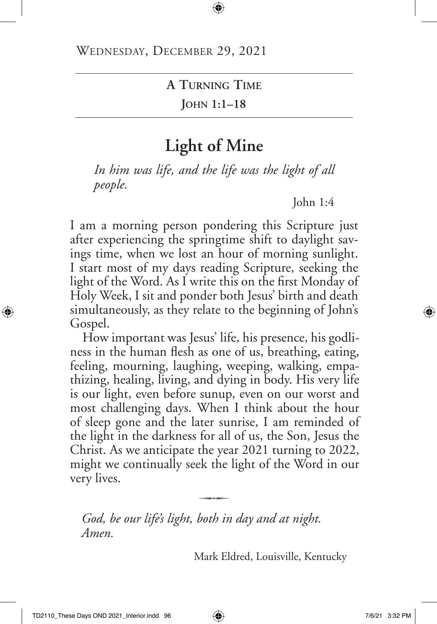**John 1:1–18**

## **Light of Mine**

*In him was life, and the life was the light of all people.*

John 1:4

I am a morning person pondering this Scripture just after experiencing the springtime shift to daylight savings time, when we lost an hour of morning sunlight. I start most of my days reading Scripture, seeking the light of the Word. As I write this on the first Monday of Holy Week, I sit and ponder both Jesus' birth and death simultaneously, as they relate to the beginning of John's Gospel.

How important was Jesus' life, his presence, his godliness in the human flesh as one of us, breathing, eating, feeling, mourning, laughing, weeping, walking, empathizing, healing, living, and dying in body. His very life is our light, even before sunup, even on our worst and most challenging days. When I think about the hour of sleep gone and the later sunrise, I am reminded of the light in the darkness for all of us, the Son, Jesus the Christ. As we anticipate the year 2021 turning to 2022, might we continually seek the light of the Word in our very lives.  $\overline{\phantom{a}}$ 

*God, be our life's light, both in day and at night. Amen.*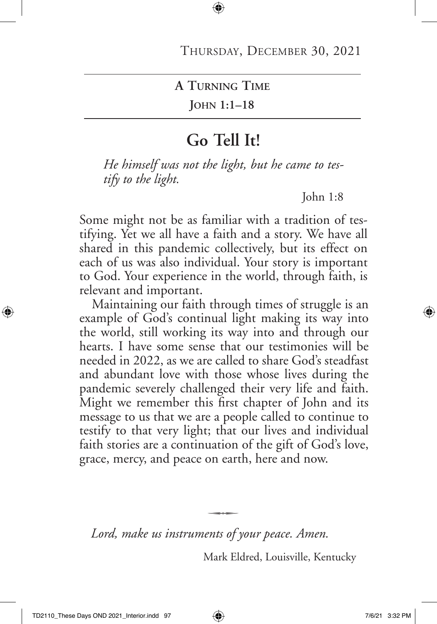**John 1:1–18**

### **Go Tell It!**

*He himself was not the light, but he came to testify to the light.*

John 1:8

Some might not be as familiar with a tradition of testifying. Yet we all have a faith and a story. We have all shared in this pandemic collectively, but its effect on each of us was also individual. Your story is important to God. Your experience in the world, through faith, is relevant and important.

Maintaining our faith through times of struggle is an example of God's continual light making its way into the world, still working its way into and through our hearts. I have some sense that our testimonies will be needed in 2022, as we are called to share God's steadfast and abundant love with those whose lives during the pandemic severely challenged their very life and faith. Might we remember this first chapter of John and its message to us that we are a people called to continue to testify to that very light; that our lives and individual faith stories are a continuation of the gift of God's love, grace, mercy, and peace on earth, here and now.

*Lord, make us instruments of your peace. Amen.*

 $\overline{\phantom{a}}$